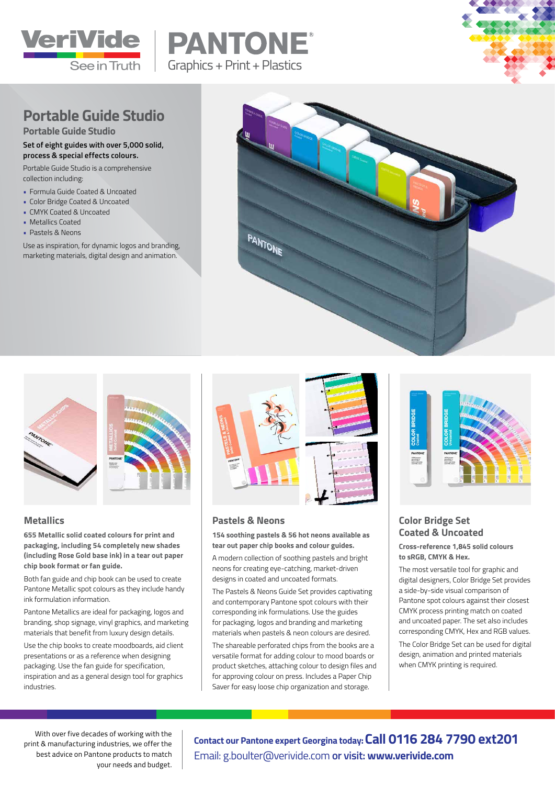





## **Portable Guide Studio**

**Portable Guide Studio**

#### **Set of eight guides with over 5,000 solid, process & special effects colours.**

Portable Guide Studio is a comprehensive collection including:

- Formula Guide Coated & Uncoated
- Color Bridge Coated & Uncoated
- CMYK Coated & Uncoated
- Metallics Coated
- Pastels & Neons

Use as inspiration, for dynamic logos and branding, marketing materials, digital design and animation.





#### **Metallics**

**655 Metallic solid coated colours for print and packaging, including 54 completely new shades (including Rose Gold base ink) in a tear out paper chip book format or fan guide.** 

Both fan guide and chip book can be used to create Pantone Metallic spot colours as they include handy ink formulation information.

Pantone Metallics are ideal for packaging, logos and branding, shop signage, vinyl graphics, and marketing materials that benefit from luxury design details.

Use the chip books to create moodboards, aid client presentations or as a reference when designing packaging. Use the fan guide for specification, inspiration and as a general design tool for graphics industries.



#### **Pastels & Neons**

**154 soothing pastels & 56 hot neons available as tear out paper chip books and colour guides.** 

A modern collection of soothing pastels and bright neons for creating eye-catching, market-driven designs in coated and uncoated formats.

The Pastels & Neons Guide Set provides captivating and contemporary Pantone spot colours with their corresponding ink formulations. Use the guides for packaging, logos and branding and marketing materials when pastels & neon colours are desired.

The shareable perforated chips from the books are a versatile format for adding colour to mood boards or product sketches, attaching colour to design files and for approving colour on press. Includes a Paper Chip Saver for easy loose chip organization and storage.



#### **Color Bridge Set Coated & Uncoated**

**Cross-reference 1,845 solid colours to sRGB, CMYK & Hex.** 

The most versatile tool for graphic and digital designers, Color Bridge Set provides a side-by-side visual comparison of Pantone spot colours against their closest CMYK process printing match on coated and uncoated paper. The set also includes corresponding CMYK, Hex and RGB values.

The Color Bridge Set can be used for digital design, animation and printed materials when CMYK printing is required.

With over five decades of working with the print & manufacturing industries, we offer the best advice on Pantone products to match your needs and budget.

**Contact our Pantone expert Georgina today:Call 0116 284 7790 ext201**  Email: g.boulter@verivide.com **or visit: www.verivide.com**